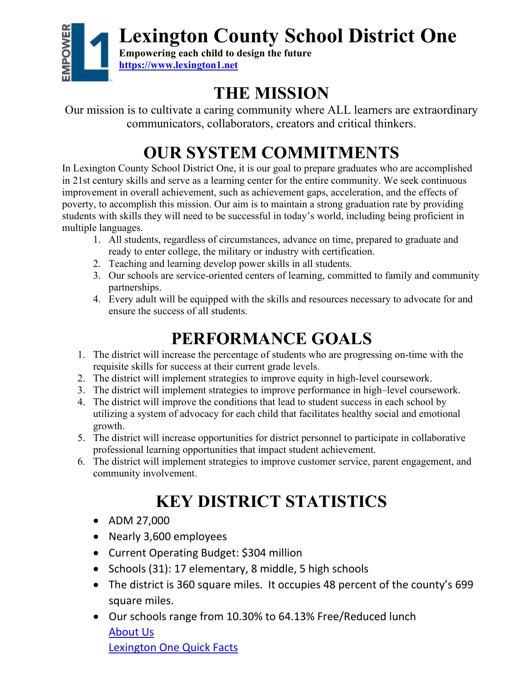**Lexington County School District One**



**Empowering each child to design the future [https://www.lexington1.net](about:blank)**

## **THE MISSION**

Our mission is to cultivate a caring community where ALL learners are extraordinary communicators, collaborators, creators and critical thinkers.

# **OUR SYSTEM COMMITMENTS**

In Lexington County School District One, it is our goal to prepare graduates who are accomplished in 21st century skills and serve as a learning center for the entire community. We seek continuous improvement in overall achievement, such as achievement gaps, acceleration, and the effects of poverty, to accomplish this mission. Our aim is to maintain a strong graduation rate by providing students with skills they will need to be successful in today's world, including being proficient in multiple languages.

- 1. All students, regardless of circumstances, advance on time, prepared to graduate and ready to enter college, the military or industry with certification.
- 2. Teaching and learning develop power skills in all students.
- 3. Our schools are service-oriented centers of learning, committed to family and community partnerships.
- 4. Every adult will be equipped with the skills and resources necessary to advocate for and ensure the success of all students.

## **PERFORMANCE GOALS**

- 1. The district will increase the percentage of students who are progressing on-time with the requisite skills for success at their current grade levels.
- 2. The district will implement strategies to improve equity in high-level coursework.
- 3. The district will implement strategies to improve performance in high–level coursework.
- 4. The district will improve the conditions that lead to student success in each school by utilizing a system of advocacy for each child that facilitates healthy social and emotional growth.
- 5. The district will increase opportunities for district personnel to participate in collaborative professional learning opportunities that impact student achievement.
- 6. The district will implement strategies to improve customer service, parent engagement, and community involvement.

# **KEY DISTRICT STATISTICS**

- ADM 27,000
- Nearly 3,600 employees
- Current Operating Budget: \$304 million
- Schools (31): 17 elementary, 8 middle, 5 high schools
- The district is 360 square miles. It occupies 48 percent of the county's 699 square miles.
- Our schools range from 10.30% to 64.13% Free/Reduced lunch [About Us](about:blank) Lexington One Quick Facts